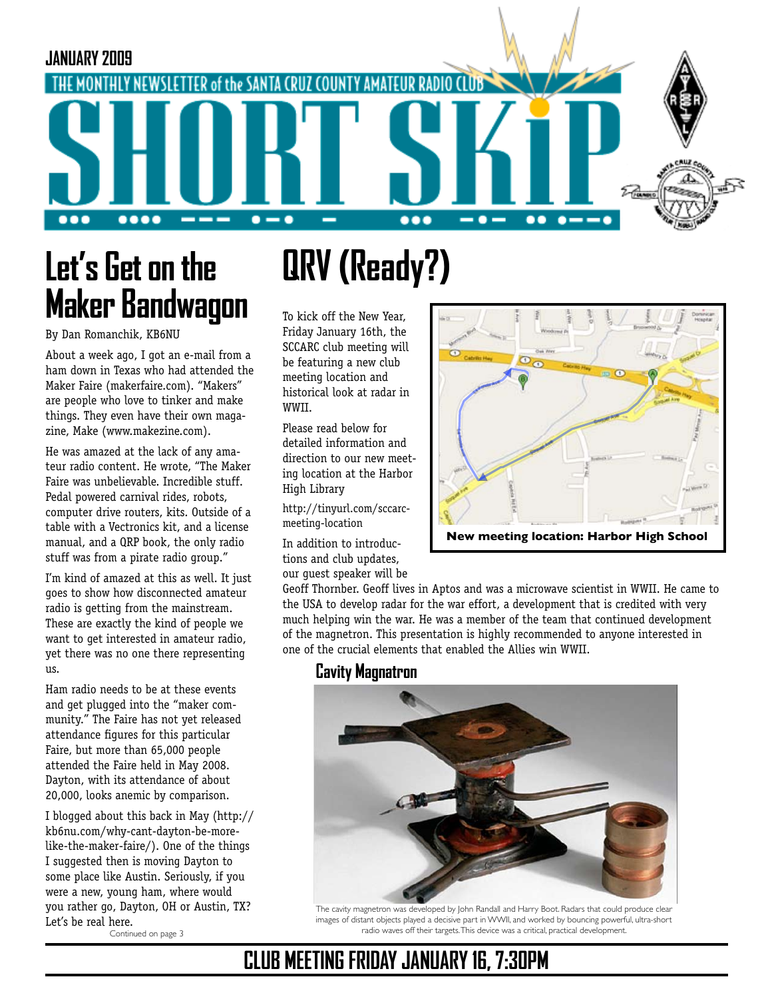

# **Let's Get on the Maker Bandwagon**

#### By Dan Romanchik, KB6NU

About a week ago, I got an e-mail from a ham down in Texas who had attended the Maker Faire (makerfaire.com). "Makers" are people who love to tinker and make things. They even have their own magazine, Make (www.makezine.com).

He was amazed at the lack of any amateur radio content. He wrote, "The Maker Faire was unbelievable. Incredible stuff. Pedal powered carnival rides, robots, computer drive routers, kits. Outside of a table with a Vectronics kit, and a license manual, and a QRP book, the only radio stuff was from a pirate radio group."

I'm kind of amazed at this as well. It just goes to show how disconnected amateur radio is getting from the mainstream. These are exactly the kind of people we want to get interested in amateur radio, yet there was no one there representing us.

Ham radio needs to be at these events and get plugged into the "maker community." The Faire has not yet released attendance figures for this particular Faire, but more than 65,000 people attended the Faire held in May 2008. Dayton, with its attendance of about 20,000, looks anemic by comparison.

I blogged about this back in May (http:// kb6nu.com/why-cant-dayton-be-morelike-the-maker-faire/). One of the things I suggested then is moving Dayton to some place like Austin. Seriously, if you were a new, young ham, where would you rather go, Dayton, OH or Austin, TX? Let's be real here.

Continued on page 3

# **QRV (Ready?)**

To kick off the New Year, Friday January 16th, the SCCARC club meeting will be featuring a new club meeting location and historical look at radar in WWII.

Please read below for detailed information and direction to our new meeting location at the Harbor High Library

http://tinyurl.com/sccarcmeeting-location

In addition to introductions and club updates, our guest speaker will be



Geoff Thornber. Geoff lives in Aptos and was a microwave scientist in WWII. He came to 2. Turn **right** at **La Fonda Ave** 0.4 mi the USA to develop radar for the war effort, a development that is credited with very much helping win the war. He was a member of the team that continued development of the magnetron. This presentation is highly recommended to anyone interested in one of the crucial elements that enabled the Allies win WWII.

#### **Cavity Magnatron**



The cavity magnetron was developed by John Randall and Harry Boot. Radars that could produce clear images of distant objects played a decisive part in WWII, and worked by bouncing powerful, ultra-short radio waves off their targets. This device was a critical, practical development.

### **CLUB MEETING FRIDAY JANUARY 16, 7:30PM**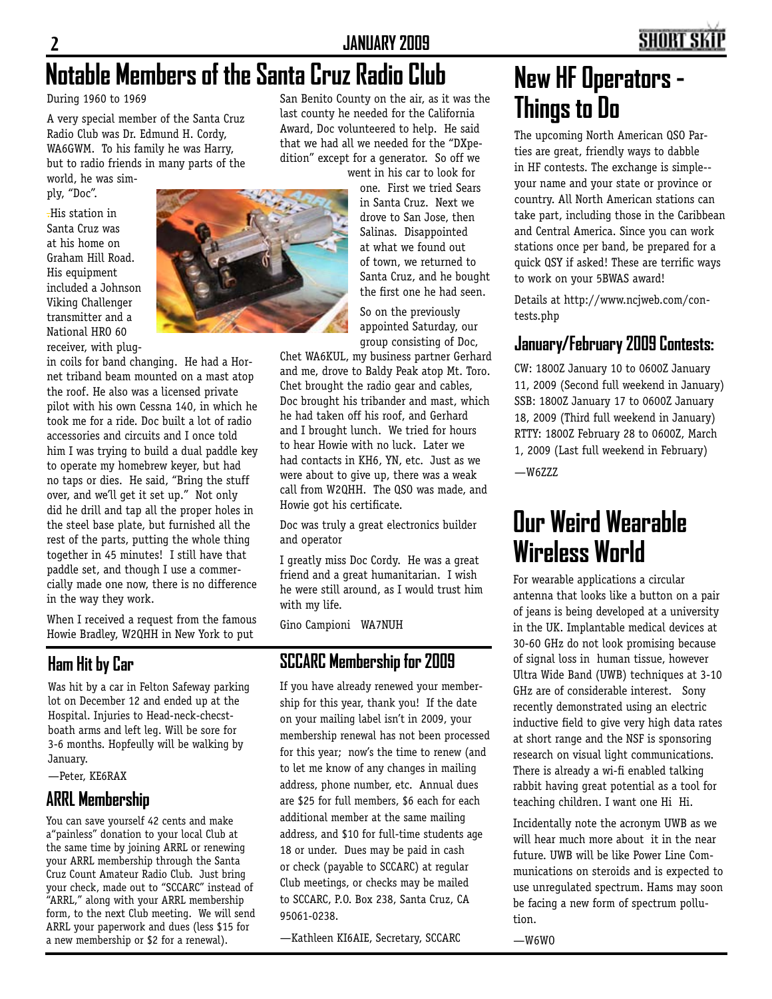### **Notable Members of the Santa Cruz Radio Club**

During 1960 to 1969

A very special member of the Santa Cruz Radio Club was Dr. Edmund H. Cordy, WA6GWM. To his family he was Harry, but to radio friends in many parts of the world, he was sim-

ply, "Doc".

.His station in Santa Cruz was at his home on Graham Hill Road. His equipment included a Johnson Viking Challenger transmitter and a National HRO 60 receiver, with plug-



in coils for band changing. He had a Hornet triband beam mounted on a mast atop the roof. He also was a licensed private pilot with his own Cessna 140, in which he took me for a ride. Doc built a lot of radio accessories and circuits and I once told him I was trying to build a dual paddle key to operate my homebrew keyer, but had no taps or dies. He said, "Bring the stuff over, and we'll get it set up." Not only did he drill and tap all the proper holes in the steel base plate, but furnished all the rest of the parts, putting the whole thing together in 45 minutes! I still have that paddle set, and though I use a commercially made one now, there is no difference in the way they work.

When I received a request from the famous Howie Bradley, W2QHH in New York to put

#### **Ham Hit by Car**

Was hit by a car in Felton Safeway parking lot on December 12 and ended up at the Hospital. Injuries to Head-neck-checstboath arms and left leg. Will be sore for 3-6 months. Hopfeully will be walking by January.

—Peter, KE6RAX

#### **ARRL Membership**

You can save yourself 42 cents and make a"painless" donation to your local Club at the same time by joining ARRL or renewing your ARRL membership through the Santa Cruz Count Amateur Radio Club. Just bring your check, made out to "SCCARC" instead of "ARRL," along with your ARRL membership form, to the next Club meeting. We will send ARRL your paperwork and dues (less \$15 for a new membership or \$2 for a renewal).

San Benito County on the air, as it was the last county he needed for the California Award, Doc volunteered to help. He said that we had all we needed for the "DXpedition" except for a generator. So off we

went in his car to look for one. First we tried Sears in Santa Cruz. Next we drove to San Jose, then Salinas. Disappointed at what we found out of town, we returned to Santa Cruz, and he bought the first one he had seen.

So on the previously appointed Saturday, our group consisting of Doc,

Chet WA6KUL, my business partner Gerhard and me, drove to Baldy Peak atop Mt. Toro. Chet brought the radio gear and cables, Doc brought his tribander and mast, which he had taken off his roof, and Gerhard and I brought lunch. We tried for hours to hear Howie with no luck. Later we had contacts in KH6, YN, etc. Just as we were about to give up, there was a weak call from W2QHH. The QSO was made, and Howie got his certificate.

Doc was truly a great electronics builder and operator

I greatly miss Doc Cordy. He was a great friend and a great humanitarian. I wish he were still around, as I would trust him with my life.

Gino Campioni WA7NUH

#### **SCCARC Membership for 2009**

If you have already renewed your membership for this year, thank you! If the date on your mailing label isn't in 2009, your membership renewal has not been processed for this year; now's the time to renew (and to let me know of any changes in mailing address, phone number, etc. Annual dues are \$25 for full members, \$6 each for each additional member at the same mailing address, and \$10 for full-time students age 18 or under. Dues may be paid in cash or check (payable to SCCARC) at regular Club meetings, or checks may be mailed to SCCARC, P.O. Box 238, Santa Cruz, CA 95061-0238.

—Kathleen KI6AIE, Secretary, SCCARC

### **New HF Operators - Things to Do**

The upcoming North American QSO Parties are great, friendly ways to dabble in HF contests. The exchange is simple- your name and your state or province or country. All North American stations can take part, including those in the Caribbean and Central America. Since you can work stations once per band, be prepared for a quick QSY if asked! These are terrific ways to work on your 5BWAS award!

Details at http://www.ncjweb.com/contests.php

#### **January/February 2009 Contests:**

CW: 1800Z January 10 to 0600Z January 11, 2009 (Second full weekend in January) SSB: 1800Z January 17 to 0600Z January 18, 2009 (Third full weekend in January) RTTY: 1800Z February 28 to 0600Z, March 1, 2009 (Last full weekend in February)

—W6ZZZ

### **Our Weird Wearable Wireless World**

For wearable applications a circular antenna that looks like a button on a pair of jeans is being developed at a university in the UK. Implantable medical devices at 30-60 GHz do not look promising because of signal loss in human tissue, however Ultra Wide Band (UWB) techniques at 3-10 GHz are of considerable interest. Sony recently demonstrated using an electric inductive field to give very high data rates at short range and the NSF is sponsoring research on visual light communications. There is already a wi-fi enabled talking rabbit having great potential as a tool for teaching children. I want one Hi Hi.

Incidentally note the acronym UWB as we will hear much more about it in the near future. UWB will be like Power Line Communications on steroids and is expected to use unregulated spectrum. Hams may soon be facing a new form of spectrum pollution.

 $-W6WD$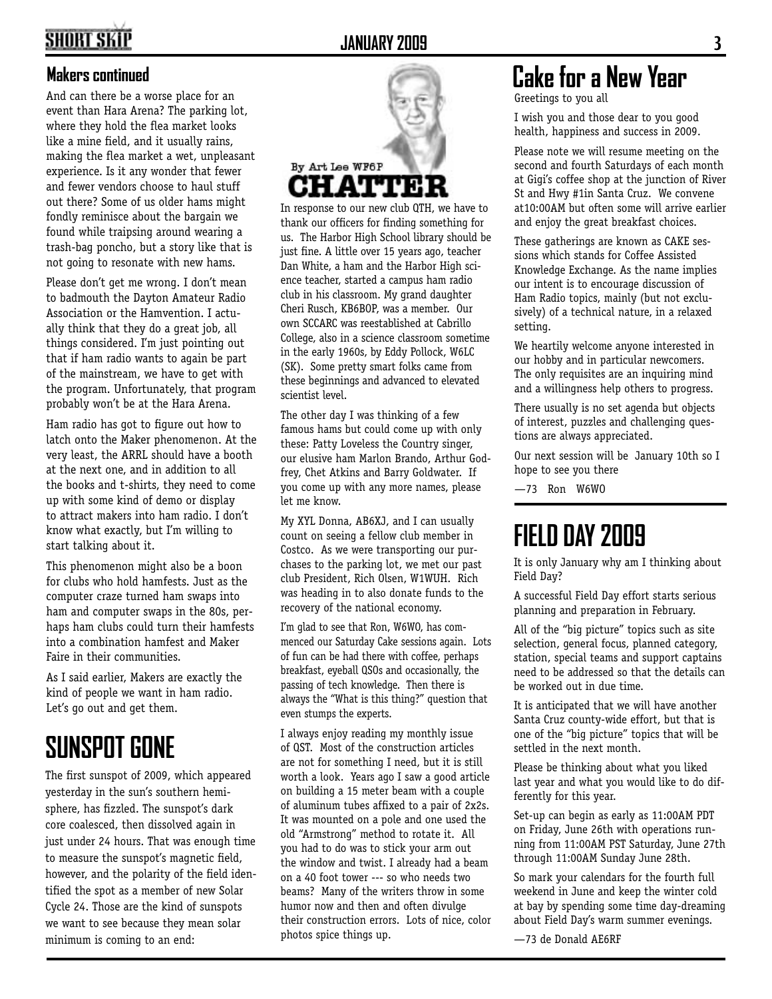### **SHORT SKII**

#### **Makers continued**

And can there be a worse place for an event than Hara Arena? The parking lot, where they hold the flea market looks like a mine field, and it usually rains, making the flea market a wet, unpleasant experience. Is it any wonder that fewer and fewer vendors choose to haul stuff out there? Some of us older hams might fondly reminisce about the bargain we found while traipsing around wearing a trash-bag poncho, but a story like that is not going to resonate with new hams.

Please don't get me wrong. I don't mean to badmouth the Dayton Amateur Radio Association or the Hamvention. I actually think that they do a great job, all things considered. I'm just pointing out that if ham radio wants to again be part of the mainstream, we have to get with the program. Unfortunately, that program probably won't be at the Hara Arena.

Ham radio has got to figure out how to latch onto the Maker phenomenon. At the very least, the ARRL should have a booth at the next one, and in addition to all the books and t-shirts, they need to come up with some kind of demo or display to attract makers into ham radio. I don't know what exactly, but I'm willing to start talking about it.

This phenomenon might also be a boon for clubs who hold hamfests. Just as the computer craze turned ham swaps into ham and computer swaps in the 80s, perhaps ham clubs could turn their hamfests into a combination hamfest and Maker Faire in their communities.

As I said earlier, Makers are exactly the kind of people we want in ham radio. Let's go out and get them.

### **SUNSPOT GONE**

The first sunspot of 2009, which appeared yesterday in the sun's southern hemisphere, has fizzled. The sunspot's dark core coalesced, then dissolved again in just under 24 hours. That was enough time to measure the sunspot's magnetic field, however, and the polarity of the field identified the spot as a member of new Solar Cycle 24. Those are the kind of sunspots we want to see because they mean solar minimum is coming to an end:



In response to our new club QTH, we have to thank our officers for finding something for us. The Harbor High School library should be just fine. A little over 15 years ago, teacher Dan White, a ham and the Harbor High science teacher, started a campus ham radio club in his classroom. My grand daughter Cheri Rusch, KB6BOP, was a member. Our own SCCARC was reestablished at Cabrillo College, also in a science classroom sometime in the early 1960s, by Eddy Pollock, W6LC (SK). Some pretty smart folks came from these beginnings and advanced to elevated scientist level.

The other day I was thinking of a few famous hams but could come up with only these: Patty Loveless the Country singer, our elusive ham Marlon Brando, Arthur Godfrey, Chet Atkins and Barry Goldwater. If you come up with any more names, please let me know.

My XYL Donna, AB6XJ, and I can usually count on seeing a fellow club member in Costco. As we were transporting our purchases to the parking lot, we met our past club President, Rich Olsen, W1WUH. Rich was heading in to also donate funds to the recovery of the national economy.

I'm glad to see that Ron, W6WO, has commenced our Saturday Cake sessions again. Lots of fun can be had there with coffee, perhaps breakfast, eyeball QSOs and occasionally, the passing of tech knowledge. Then there is always the "What is this thing?" question that even stumps the experts.

I always enjoy reading my monthly issue of QST. Most of the construction articles are not for something I need, but it is still worth a look. Years ago I saw a good article on building a 15 meter beam with a couple of aluminum tubes affixed to a pair of 2x2s. It was mounted on a pole and one used the old "Armstrong" method to rotate it. All you had to do was to stick your arm out the window and twist. I already had a beam on a 40 foot tower --- so who needs two beams? Many of the writers throw in some humor now and then and often divulge their construction errors. Lots of nice, color photos spice things up.

## **Cake for a New Year**

Greetings to you all

I wish you and those dear to you good health, happiness and success in 2009.

Please note we will resume meeting on the second and fourth Saturdays of each month at Gigi's coffee shop at the junction of River St and Hwy #1in Santa Cruz. We convene at10:00AM but often some will arrive earlier and enjoy the great breakfast choices.

These gatherings are known as CAKE sessions which stands for Coffee Assisted Knowledge Exchange. As the name implies our intent is to encourage discussion of Ham Radio topics, mainly (but not exclusively) of a technical nature, in a relaxed setting.

We heartily welcome anyone interested in our hobby and in particular newcomers. The only requisites are an inquiring mind and a willingness help others to progress.

There usually is no set agenda but objects of interest, puzzles and challenging questions are always appreciated.

Our next session will be January 10th so I hope to see you there

—73 Ron W6WO

### **FIELD DAY 2009**

It is only January why am I thinking about Field Day?

A successful Field Day effort starts serious planning and preparation in February.

All of the "big picture" topics such as site selection, general focus, planned category, station, special teams and support captains need to be addressed so that the details can be worked out in due time.

It is anticipated that we will have another Santa Cruz county-wide effort, but that is one of the "big picture" topics that will be settled in the next month.

Please be thinking about what you liked last year and what you would like to do differently for this year.

Set-up can begin as early as 11:00AM PDT on Friday, June 26th with operations running from 11:00AM PST Saturday, June 27th through 11:00AM Sunday June 28th.

So mark your calendars for the fourth full weekend in June and keep the winter cold at bay by spending some time day-dreaming about Field Day's warm summer evenings.

—73 de Donald AE6RF